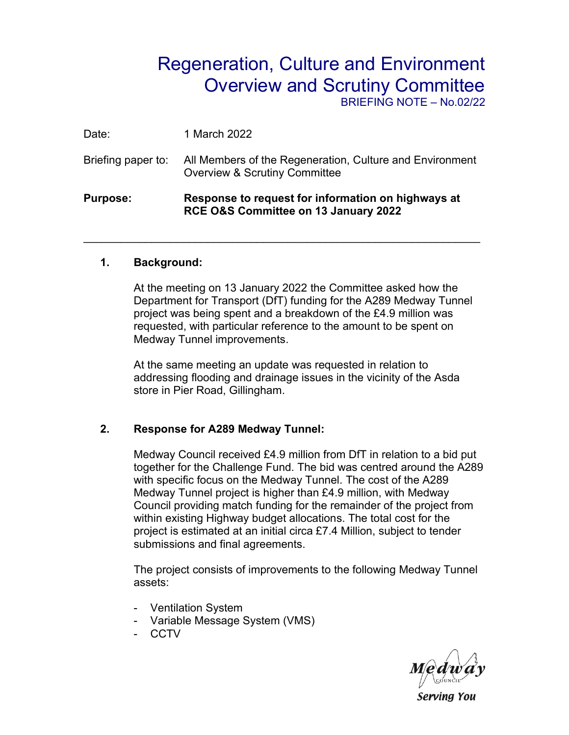## Regeneration, Culture and Environment Overview and Scrutiny Committee

BRIEFING NOTE – No.02/22

| <b>Purpose:</b>    | Response to request for information on highways at<br>RCE O&S Committee on 13 January 2022           |
|--------------------|------------------------------------------------------------------------------------------------------|
| Briefing paper to: | All Members of the Regeneration, Culture and Environment<br><b>Overview &amp; Scrutiny Committee</b> |
| Date:              | 1 March 2022                                                                                         |

\_\_\_\_\_\_\_\_\_\_\_\_\_\_\_\_\_\_\_\_\_\_\_\_\_\_\_\_\_\_\_\_\_\_\_\_\_\_\_\_\_\_\_\_\_\_\_\_\_\_\_\_\_\_\_\_\_\_\_\_\_\_\_\_

## **1. Background:**

At the meeting on 13 January 2022 the Committee asked how the Department for Transport (DfT) funding for the A289 Medway Tunnel project was being spent and a breakdown of the £4.9 million was requested, with particular reference to the amount to be spent on Medway Tunnel improvements.

At the same meeting an update was requested in relation to addressing flooding and drainage issues in the vicinity of the Asda store in Pier Road, Gillingham.

## **2. Response for A289 Medway Tunnel:**

Medway Council received £4.9 million from DfT in relation to a bid put together for the Challenge Fund. The bid was centred around the A289 with specific focus on the Medway Tunnel. The cost of the A289 Medway Tunnel project is higher than £4.9 million, with Medway Council providing match funding for the remainder of the project from within existing Highway budget allocations. The total cost for the project is estimated at an initial circa £7.4 Million, subject to tender submissions and final agreements.

The project consists of improvements to the following Medway Tunnel assets:

- Ventilation System
- Variable Message System (VMS)
- CCTV

Serving You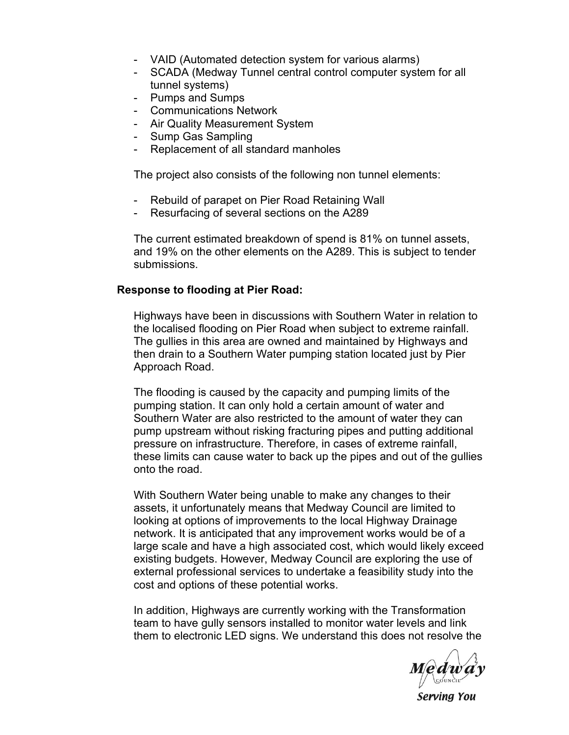- VAID (Automated detection system for various alarms)
- SCADA (Medway Tunnel central control computer system for all tunnel systems)
- Pumps and Sumps
- Communications Network
- Air Quality Measurement System
- Sump Gas Sampling
- Replacement of all standard manholes

The project also consists of the following non tunnel elements:

- Rebuild of parapet on Pier Road Retaining Wall
- Resurfacing of several sections on the A289

The current estimated breakdown of spend is 81% on tunnel assets, and 19% on the other elements on the A289. This is subject to tender submissions.

## **Response to flooding at Pier Road:**

Highways have been in discussions with Southern Water in relation to the localised flooding on Pier Road when subject to extreme rainfall. The gullies in this area are owned and maintained by Highways and then drain to a Southern Water pumping station located just by Pier Approach Road.

The flooding is caused by the capacity and pumping limits of the pumping station. It can only hold a certain amount of water and Southern Water are also restricted to the amount of water they can pump upstream without risking fracturing pipes and putting additional pressure on infrastructure. Therefore, in cases of extreme rainfall, these limits can cause water to back up the pipes and out of the gullies onto the road.

With Southern Water being unable to make any changes to their assets, it unfortunately means that Medway Council are limited to looking at options of improvements to the local Highway Drainage network. It is anticipated that any improvement works would be of a large scale and have a high associated cost, which would likely exceed existing budgets. However, Medway Council are exploring the use of external professional services to undertake a feasibility study into the cost and options of these potential works.

In addition, Highways are currently working with the Transformation team to have gully sensors installed to monitor water levels and link them to electronic LED signs. We understand this does not resolve the

*Medway* 

Serving You